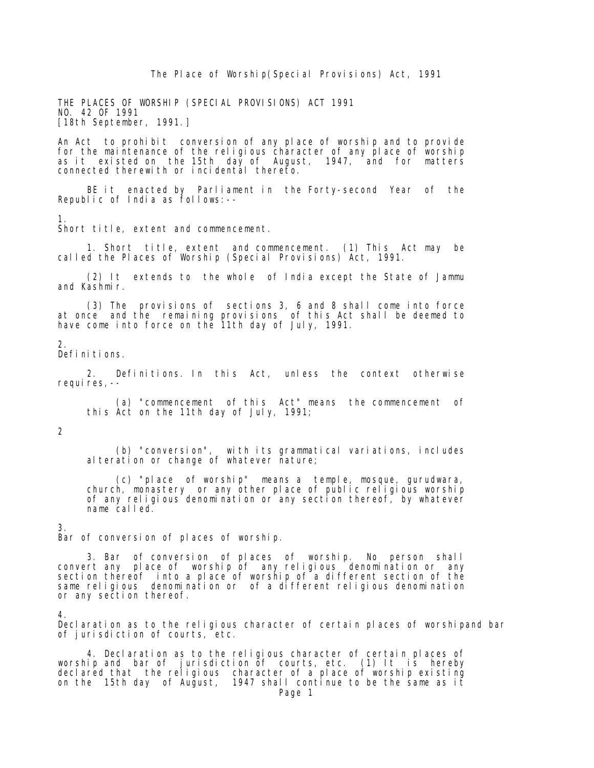The Place of Worship(Special Provisions) Act, 1991

 THE PLACES OF WORSHIP (SPECIAL PROVISIONS) ACT 1991 NO. 42 OF 1991 [18th September, 1991.]

 An Act to prohibit conversion of any place of worship and to provide for the maintenance of the religious character of any place of worship as it existed on the 15th day of August, 1947, and for matters connected therewith or incidental thereto.

 BE it enacted by Parliament in the Forty-second Year of the Republic of India as follows:--

1.

Short title, extent and commencement.

 1. Short title, extent and commencement. (1) This Act may be called the Places of Worship (Special Provisions) Act, 1991.

 (2) It extends to the whole of India except the State of Jammu and Kashmir.

 (3) The provisions of sections 3, 6 and 8 shall come into force at once and the remaining provisions of this Act shall be deemed to have come into force on the 11th day of July, 1991.

## $\mathcal{D}$

Definitions.

 2. Definitions. In this Act, unless the context otherwise requires, --

 (a) "commencement of this Act" means the commencement of this Act on the 11th day of July, 1991;

## $\mathfrak{D}$

 (b) "conversion", with its grammatical variations, includes alteration or change of whatever nature;

 (c) "place of worship" means a temple, mosque, gurudwara, church, monastery or any other place of public religious worship of any religious denomination or any section thereof, by whatever name called.

## 3.

Bar of conversion of places of worship.

 3. Bar of conversion of places of worship. No person shall convert any place of worship of any religious denomination or any section thereof into a place of worship of a different section of the same religious denomination or of a different religious denomination or any section thereof.

## 4.

 Declaration as to the religious character of certain places of worshipand bar of jurisdiction of courts, etc.

 4. Declaration as to the religious character of certain places of worship and bar of jurisdiction of courts, etc. (1) It is hereby declared that the religious character of a place of worship existing on the 15th day of August, 1947 shall continue to be the same as it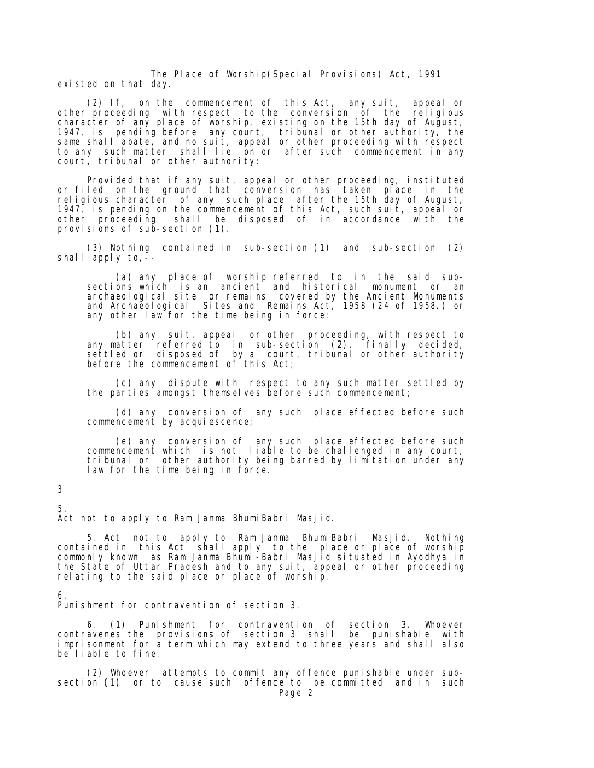The Place of Worship(Special Provisions) Act, 1991 existed on that day.

 (2) If, on the commencement of this Act, any suit, appeal or other proceeding with respect to the conversion of the religious character of any place of worship, existing on the 15th day of August, 1947, is pending before any court, tribunal or other authority, the same shall abate, and no suit, appeal or other proceeding with respect to any such matter shall lie on or after such commencement in any court, tribunal or other authority:

 Provided that if any suit, appeal or other proceeding, instituted or filed on the ground that conversion has taken place in the religious character of any such place after the 15th day of August, 1947, is pending on the commencement of this Act, such suit, appeal or other proceeding shall be disposed of in accordance with the provisions of sub-section (1).

 (3) Nothing contained in sub-section (1) and sub-section (2) shall apply to,--

 (a) any place of worship referred to in the said sub sections which is an ancient and historical monument or an archaeological site or remains covered by the Ancient Monuments and Archaeological Sites and Remains Act, 1958 (24 of 1958.) or any other law for the time being in force;

 (b) any suit, appeal or other proceeding, with respect to any matter referred to in sub-section (2), finally decided, settled or disposed of by a court, tribunal or other authority before the commencement of this Act;

 (c) any dispute with respect to any such matter settled by the parties amongst themselves before such commencement;

 (d) any conversion of any such place effected before such commencement by acquiescence;

 (e) any conversion of any such place effected before such commencement which is not liable to be challenged in any court, tribunal or other authority being barred by limitation under any law for the time being in force.

3

 5. Act not to apply to Ram Janma BhumiBabri Masjid.

 5. Act not to apply to Ram Janma BhumiBabri Masjid. Nothing contained in this Act shall apply to the place or place of worship commonly known as Ram Janma Bhumi-Babri Masjid situated in Ayodhya in the State of Uttar Pradesh and to any suit, appeal or other proceeding relating to the said place or place of worship.

6.

Punishment for contravention of section 3.

 6. (1) Punishment for contravention of section 3. Whoever contravenes the provisions of section 3 shall be punishable with imprisonment for a term which may extend to three years and shall also be liable to fine.

 (2) Whoever attempts to commit any offence punishable under sub section (1) or to cause such offence to be committed and in such Page 2